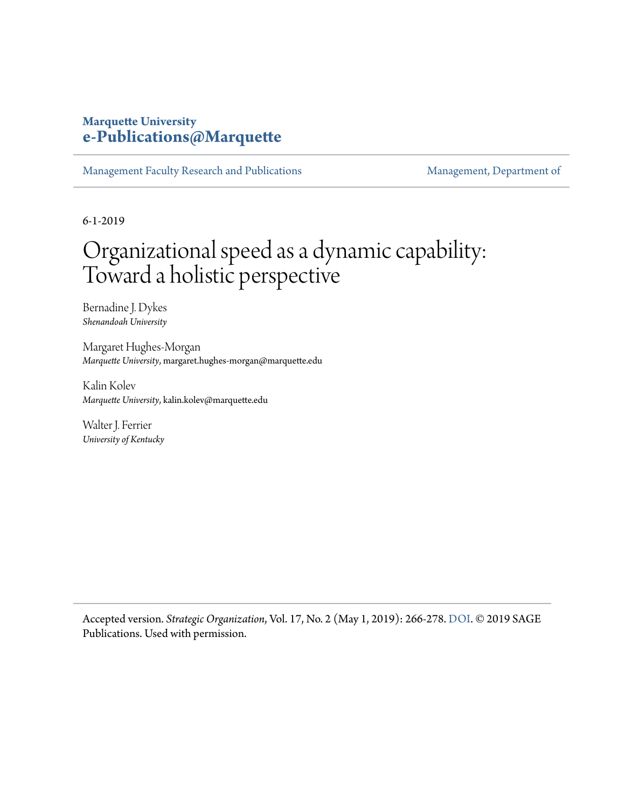## **Marquette University [e-Publications@Marquette](https://epublications.marquette.edu/)**

[Management Faculty Research and Publications](https://epublications.marquette.edu/mgmt_fac) [Management, Department of](https://epublications.marquette.edu/mgmt)

6-1-2019

# Organizational speed as a dynamic capability: Toward a holistic perspective

Bernadine J. Dykes *Shenandoah University*

Margaret Hughes-Morgan *Marquette University*, margaret.hughes-morgan@marquette.edu

Kalin Kolev *Marquette University*, kalin.kolev@marquette.edu

Walter J. Ferrier *University of Kentucky*

Accepted version. *Strategic Organization*, Vol. 17, No. 2 (May 1, 2019): 266-278. [DOI](https://doi.org/10.1177%2F1476127018804249). © 2019 SAGE Publications. Used with permission.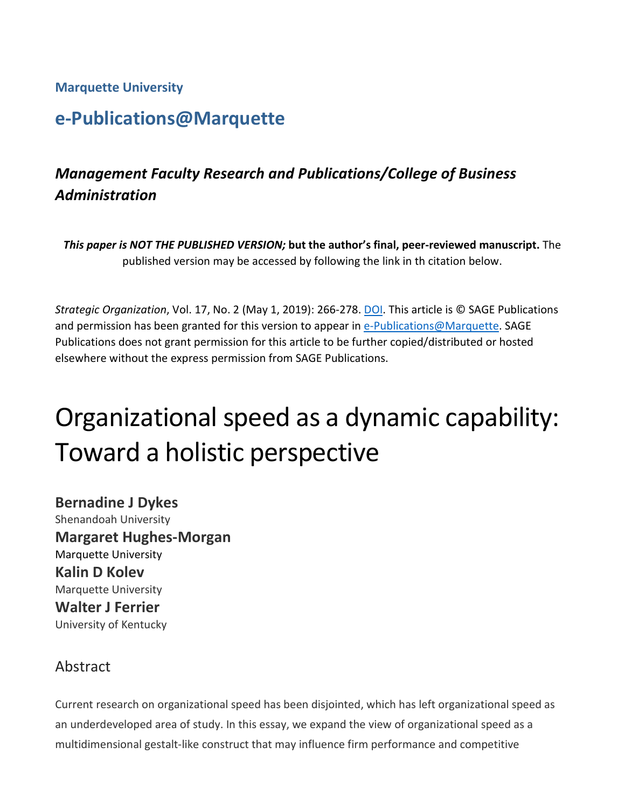**Marquette University**

# **e-Publications@Marquette**

## *Management Faculty Research and Publications/College of Business Administration*

*This paper is NOT THE PUBLISHED VERSION;* **but the author's final, peer-reviewed manuscript.** The published version may be accessed by following the link in th citation below.

*Strategic Organization*, Vol. 17, No. 2 (May 1, 2019): 266-278[. DOI.](https://doi.org/10.1177%2F1476127018804249) This article is © SAGE Publications and permission has been granted for this version to appear in [e-Publications@Marquette.](http://epublications.marquette.edu/) SAGE Publications does not grant permission for this article to be further copied/distributed or hosted elsewhere without the express permission from SAGE Publications.

# Organizational speed as a dynamic capability: Toward a holistic perspective

**[Bernadine J Dykes](https://journals.sagepub.com/action/doSearch?target=default&ContribAuthorStored=Dykes%2C+Bernadine+J)** Shenandoah University **[Margaret Hughes-Morgan](https://journals.sagepub.com/action/doSearch?target=default&ContribAuthorStored=Hughes-Morgan%2C+Margaret)** Marquette University **[Kalin D Kolev](https://journals.sagepub.com/action/doSearch?target=default&ContribAuthorStored=Kolev%2C+Kalin+D)** Marquette University **[Walter J Ferrier](https://journals.sagepub.com/action/doSearch?target=default&ContribAuthorStored=Ferrier%2C+Walter+J)** University of Kentucky

## Abstract

Current research on organizational speed has been disjointed, which has left organizational speed as an underdeveloped area of study. In this essay, we expand the view of organizational speed as a multidimensional gestalt-like construct that may influence firm performance and competitive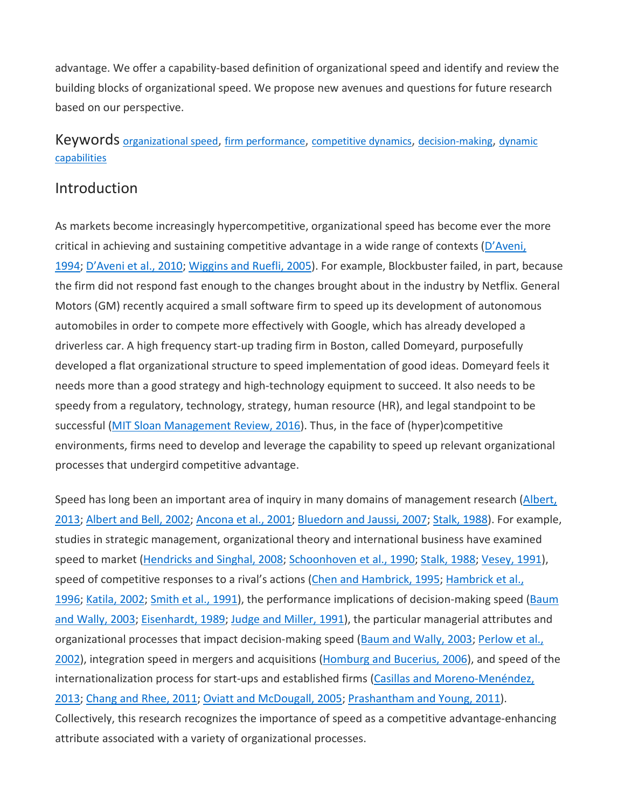advantage. We offer a capability-based definition of organizational speed and identify and review the building blocks of organizational speed. We propose new avenues and questions for future research based on our perspective.

#### Keywords [organizational speed,](https://journals.sagepub.com/keyword/Organizational+Speed) [firm performance,](https://journals.sagepub.com/keyword/Firm+Performance) [competitive dynamics,](https://journals.sagepub.com/keyword/Competitive+Dynamics) [decision-making,](https://journals.sagepub.com/keyword/Decision-making) [dynamic](https://journals.sagepub.com/keyword/Dynamic+Capabilities)  [capabilities](https://journals.sagepub.com/keyword/Dynamic+Capabilities)

## Introduction

As markets become increasingly hypercompetitive, organizational speed has become ever the more critical in achieving and sustaining competitive advantage in a wide range of contexts (D'Aveni, [1994;](https://journals.sagepub.com/doi/10.1177/1476127018804249) [D'Aveni et al., 2010;](https://journals.sagepub.com/doi/10.1177/1476127018804249) [Wiggins and Ruefli, 2005\)](https://journals.sagepub.com/doi/10.1177/1476127018804249). For example, Blockbuster failed, in part, because the firm did not respond fast enough to the changes brought about in the industry by Netflix. General Motors (GM) recently acquired a small software firm to speed up its development of autonomous automobiles in order to compete more effectively with Google, which has already developed a driverless car. A high frequency start-up trading firm in Boston, called Domeyard, purposefully developed a flat organizational structure to speed implementation of good ideas. Domeyard feels it needs more than a good strategy and high-technology equipment to succeed. It also needs to be speedy from a regulatory, technology, strategy, human resource (HR), and legal standpoint to be successful [\(MIT Sloan Management Review, 2016\)](https://journals.sagepub.com/doi/10.1177/1476127018804249). Thus, in the face of (hyper)competitive environments, firms need to develop and leverage the capability to speed up relevant organizational processes that undergird competitive advantage.

Speed has long been an important area of inquiry in many domains of management research [\(Albert,](https://journals.sagepub.com/doi/10.1177/1476127018804249)  [2013;](https://journals.sagepub.com/doi/10.1177/1476127018804249) [Albert and Bell, 2002;](https://journals.sagepub.com/doi/10.1177/1476127018804249) [Ancona et al., 2001;](https://journals.sagepub.com/doi/10.1177/1476127018804249) [Bluedorn and Jaussi, 2007;](https://journals.sagepub.com/doi/10.1177/1476127018804249) [Stalk, 1988\)](https://journals.sagepub.com/doi/10.1177/1476127018804249). For example, studies in strategic management, organizational theory and international business have examined speed to market [\(Hendricks and Singhal, 2008;](https://journals.sagepub.com/doi/10.1177/1476127018804249) [Schoonhoven et al., 1990;](https://journals.sagepub.com/doi/10.1177/1476127018804249) [Stalk, 1988;](https://journals.sagepub.com/doi/10.1177/1476127018804249) [Vesey, 1991\)](https://journals.sagepub.com/doi/10.1177/1476127018804249), speed of competitive responses to a rival's actions [\(Chen and Hambrick, 1995;](https://journals.sagepub.com/doi/10.1177/1476127018804249) [Hambrick et al.,](https://journals.sagepub.com/doi/10.1177/1476127018804249)  [1996;](https://journals.sagepub.com/doi/10.1177/1476127018804249) [Katila, 2002;](https://journals.sagepub.com/doi/10.1177/1476127018804249) [Smith et al., 1991\)](https://journals.sagepub.com/doi/10.1177/1476127018804249), the performance implications of decision-making speed [\(Baum](https://journals.sagepub.com/doi/10.1177/1476127018804249)  [and Wally, 2003;](https://journals.sagepub.com/doi/10.1177/1476127018804249) [Eisenhardt, 1989;](https://journals.sagepub.com/doi/10.1177/1476127018804249) [Judge and Miller, 1991\)](https://journals.sagepub.com/doi/10.1177/1476127018804249), the particular managerial attributes and organizational processes that impact decision-making speed [\(Baum and Wally, 2003;](https://journals.sagepub.com/doi/10.1177/1476127018804249) [Perlow et al.,](https://journals.sagepub.com/doi/10.1177/1476127018804249)  [2002\)](https://journals.sagepub.com/doi/10.1177/1476127018804249), integration speed in mergers and acquisitions [\(Homburg and Bucerius, 2006\)](https://journals.sagepub.com/doi/10.1177/1476127018804249), and speed of the internationalization process for start-ups and established firms [\(Casillas and Moreno-Menéndez,](https://journals.sagepub.com/doi/10.1177/1476127018804249)  [2013;](https://journals.sagepub.com/doi/10.1177/1476127018804249) [Chang and Rhee, 2011;](https://journals.sagepub.com/doi/10.1177/1476127018804249) [Oviatt and McDougall, 2005;](https://journals.sagepub.com/doi/10.1177/1476127018804249) [Prashantham and Young, 2011\)](https://journals.sagepub.com/doi/10.1177/1476127018804249). Collectively, this research recognizes the importance of speed as a competitive advantage-enhancing attribute associated with a variety of organizational processes.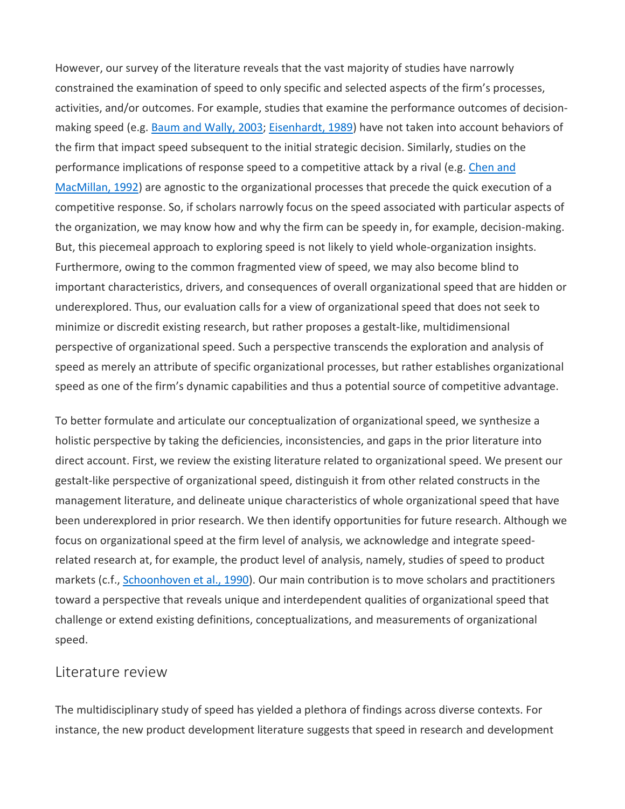However, our survey of the literature reveals that the vast majority of studies have narrowly constrained the examination of speed to only specific and selected aspects of the firm's processes, activities, and/or outcomes. For example, studies that examine the performance outcomes of decision-making speed (e.g. [Baum and Wally, 2003;](https://journals.sagepub.com/doi/10.1177/1476127018804249) [Eisenhardt, 1989\)](https://journals.sagepub.com/doi/10.1177/1476127018804249) have not taken into account behaviors of the firm that impact speed subsequent to the initial strategic decision. Similarly, studies on the performance implications of response speed to a competitive attack by a rival (e.g. Chen and [MacMillan, 1992\)](https://journals.sagepub.com/doi/10.1177/1476127018804249) are agnostic to the organizational processes that precede the quick execution of a competitive response. So, if scholars narrowly focus on the speed associated with particular aspects of the organization, we may know how and why the firm can be speedy in, for example, decision-making. But, this piecemeal approach to exploring speed is not likely to yield whole-organization insights. Furthermore, owing to the common fragmented view of speed, we may also become blind to important characteristics, drivers, and consequences of overall organizational speed that are hidden or underexplored. Thus, our evaluation calls for a view of organizational speed that does not seek to minimize or discredit existing research, but rather proposes a gestalt-like, multidimensional perspective of organizational speed. Such a perspective transcends the exploration and analysis of speed as merely an attribute of specific organizational processes, but rather establishes organizational speed as one of the firm's dynamic capabilities and thus a potential source of competitive advantage.

To better formulate and articulate our conceptualization of organizational speed, we synthesize a holistic perspective by taking the deficiencies, inconsistencies, and gaps in the prior literature into direct account. First, we review the existing literature related to organizational speed. We present our gestalt-like perspective of organizational speed, distinguish it from other related constructs in the management literature, and delineate unique characteristics of whole organizational speed that have been underexplored in prior research. We then identify opportunities for future research. Although we focus on organizational speed at the firm level of analysis, we acknowledge and integrate speedrelated research at, for example, the product level of analysis, namely, studies of speed to product markets (c.f., [Schoonhoven et al., 1990\)](https://journals.sagepub.com/doi/10.1177/1476127018804249). Our main contribution is to move scholars and practitioners toward a perspective that reveals unique and interdependent qualities of organizational speed that challenge or extend existing definitions, conceptualizations, and measurements of organizational speed.

#### Literature review

The multidisciplinary study of speed has yielded a plethora of findings across diverse contexts. For instance, the new product development literature suggests that speed in research and development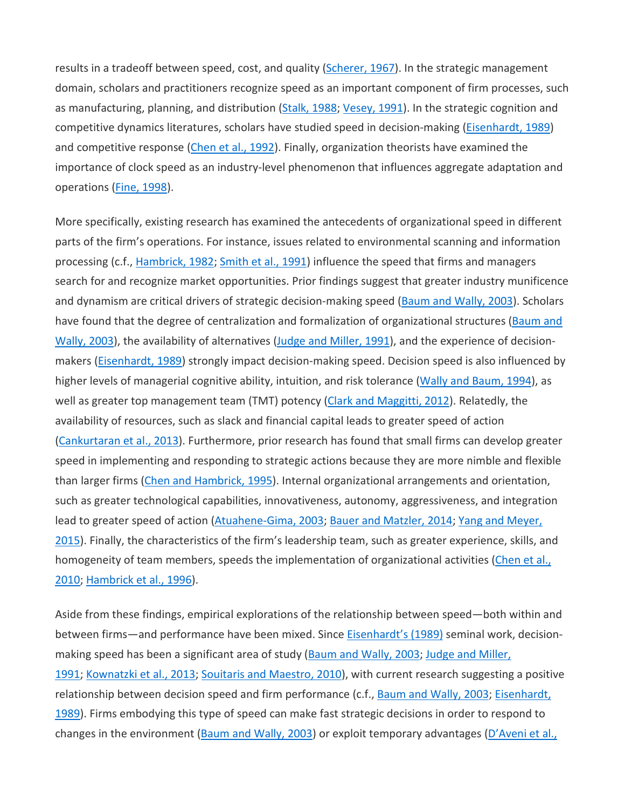results in a tradeoff between speed, cost, and quality [\(Scherer, 1967\)](https://journals.sagepub.com/doi/10.1177/1476127018804249). In the strategic management domain, scholars and practitioners recognize speed as an important component of firm processes, such as manufacturing, planning, and distribution [\(Stalk, 1988;](https://journals.sagepub.com/doi/10.1177/1476127018804249) [Vesey, 1991\)](https://journals.sagepub.com/doi/10.1177/1476127018804249). In the strategic cognition and competitive dynamics literatures, scholars have studied speed in decision-making [\(Eisenhardt, 1989\)](https://journals.sagepub.com/doi/10.1177/1476127018804249) and competitive response [\(Chen et al., 1992\)](https://journals.sagepub.com/doi/10.1177/1476127018804249). Finally, organization theorists have examined the importance of clock speed as an industry-level phenomenon that influences aggregate adaptation and operations [\(Fine, 1998\)](https://journals.sagepub.com/doi/10.1177/1476127018804249).

More specifically, existing research has examined the antecedents of organizational speed in different parts of the firm's operations. For instance, issues related to environmental scanning and information processing (c.f., [Hambrick, 1982;](https://journals.sagepub.com/doi/10.1177/1476127018804249) [Smith et al., 1991\)](https://journals.sagepub.com/doi/10.1177/1476127018804249) influence the speed that firms and managers search for and recognize market opportunities. Prior findings suggest that greater industry munificence and dynamism are critical drivers of strategic decision-making speed [\(Baum and Wally, 2003\)](https://journals.sagepub.com/doi/10.1177/1476127018804249). Scholars have found that the degree of centralization and formalization of organizational structures (Baum and [Wally, 2003\)](https://journals.sagepub.com/doi/10.1177/1476127018804249), the availability of alternatives [\(Judge and Miller, 1991\)](https://journals.sagepub.com/doi/10.1177/1476127018804249), and the experience of decisionmakers [\(Eisenhardt, 1989\)](https://journals.sagepub.com/doi/10.1177/1476127018804249) strongly impact decision-making speed. Decision speed is also influenced by higher levels of managerial cognitive ability, intuition, and risk tolerance [\(Wally and Baum, 1994\)](https://journals.sagepub.com/doi/10.1177/1476127018804249), as well as greater top management team (TMT) potency [\(Clark and Maggitti, 2012\)](https://journals.sagepub.com/doi/10.1177/1476127018804249). Relatedly, the availability of resources, such as slack and financial capital leads to greater speed of action [\(Cankurtaran et al., 2013\)](https://journals.sagepub.com/doi/10.1177/1476127018804249). Furthermore, prior research has found that small firms can develop greater speed in implementing and responding to strategic actions because they are more nimble and flexible than larger firms [\(Chen and Hambrick, 1995\)](https://journals.sagepub.com/doi/10.1177/1476127018804249). Internal organizational arrangements and orientation, such as greater technological capabilities, innovativeness, autonomy, aggressiveness, and integration lead to greater speed of action [\(Atuahene-Gima, 2003;](https://journals.sagepub.com/doi/10.1177/1476127018804249) [Bauer and Matzler, 2014;](https://journals.sagepub.com/doi/10.1177/1476127018804249) [Yang and Meyer,](https://journals.sagepub.com/doi/10.1177/1476127018804249)  [2015\)](https://journals.sagepub.com/doi/10.1177/1476127018804249). Finally, the characteristics of the firm's leadership team, such as greater experience, skills, and homogeneity of team members, speeds the implementation of organizational activities [\(Chen et al.,](https://journals.sagepub.com/doi/10.1177/1476127018804249)  [2010;](https://journals.sagepub.com/doi/10.1177/1476127018804249) [Hambrick et al., 1996\)](https://journals.sagepub.com/doi/10.1177/1476127018804249).

Aside from these findings, empirical explorations of the relationship between speed—both within and between firms—and performance have been mixed. Since **[Eisenhardt's \(1989\)](https://journals.sagepub.com/doi/10.1177/1476127018804249)** seminal work, decisionmaking speed has been a significant area of study [\(Baum and Wally, 2003;](https://journals.sagepub.com/doi/10.1177/1476127018804249) [Judge and Miller,](https://journals.sagepub.com/doi/10.1177/1476127018804249)  [1991;](https://journals.sagepub.com/doi/10.1177/1476127018804249) [Kownatzki et al., 2013;](https://journals.sagepub.com/doi/10.1177/1476127018804249) [Souitaris and Maestro, 2010\)](https://journals.sagepub.com/doi/10.1177/1476127018804249), with current research suggesting a positive relationship between decision speed and firm performance (c.f., [Baum and Wally, 2003;](https://journals.sagepub.com/doi/10.1177/1476127018804249) Eisenhardt, [1989\)](https://journals.sagepub.com/doi/10.1177/1476127018804249). Firms embodying this type of speed can make fast strategic decisions in order to respond to changes in the environment [\(Baum and Wally, 2003\)](https://journals.sagepub.com/doi/10.1177/1476127018804249) or exploit temporary advantages (D'Aveni et al.,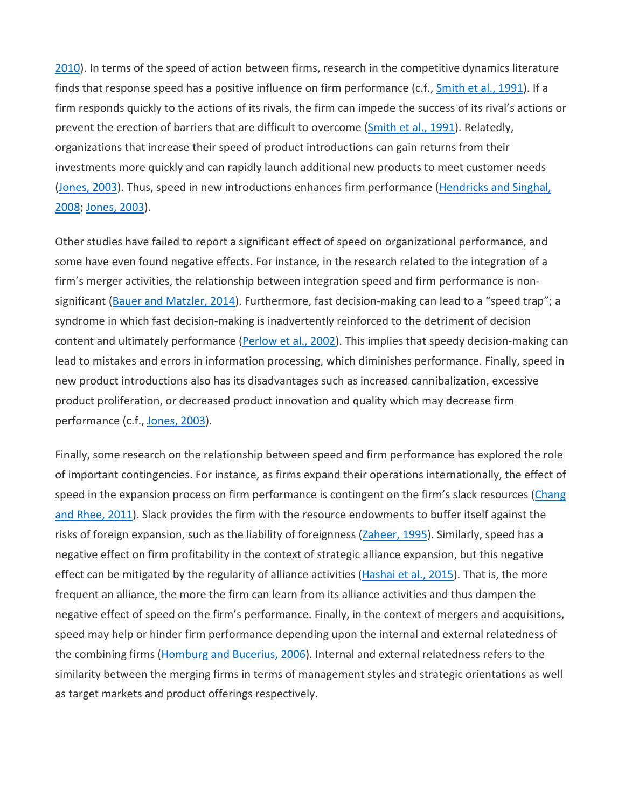[2010\)](https://journals.sagepub.com/doi/10.1177/1476127018804249). In terms of the speed of action between firms, research in the competitive dynamics literature finds that response speed has a positive influence on firm performance (c.f., [Smith et al., 1991\)](https://journals.sagepub.com/doi/10.1177/1476127018804249). If a firm responds quickly to the actions of its rivals, the firm can impede the success of its rival's actions or prevent the erection of barriers that are difficult to overcome [\(Smith et al.,](https://journals.sagepub.com/doi/10.1177/1476127018804249) 1991). Relatedly, organizations that increase their speed of product introductions can gain returns from their investments more quickly and can rapidly launch additional new products to meet customer needs [\(Jones, 2003\)](https://journals.sagepub.com/doi/10.1177/1476127018804249). Thus, speed in new introductions enhances firm performance [\(Hendricks and Singhal,](https://journals.sagepub.com/doi/10.1177/1476127018804249)  [2008;](https://journals.sagepub.com/doi/10.1177/1476127018804249) [Jones, 2003\)](https://journals.sagepub.com/doi/10.1177/1476127018804249).

Other studies have failed to report a significant effect of speed on organizational performance, and some have even found negative effects. For instance, in the research related to the integration of a firm's merger activities, the relationship between integration speed and firm performance is nonsignificant [\(Bauer and Matzler, 2014\)](https://journals.sagepub.com/doi/10.1177/1476127018804249). Furthermore, fast decision-making can lead to a "speed trap"; a syndrome in which fast decision-making is inadvertently reinforced to the detriment of decision content and ultimately performance [\(Perlow et al., 2002\)](https://journals.sagepub.com/doi/10.1177/1476127018804249). This implies that speedy decision-making can lead to mistakes and errors in information processing, which diminishes performance. Finally, speed in new product introductions also has its disadvantages such as increased cannibalization, excessive product proliferation, or decreased product innovation and quality which may decrease firm performance (c.f., [Jones, 2003\)](https://journals.sagepub.com/doi/10.1177/1476127018804249).

Finally, some research on the relationship between speed and firm performance has explored the role of important contingencies. For instance, as firms expand their operations internationally, the effect of speed in the expansion process on firm performance is contingent on the firm's slack resources (Chang [and Rhee, 2011\)](https://journals.sagepub.com/doi/10.1177/1476127018804249). Slack provides the firm with the resource endowments to buffer itself against the risks of foreign expansion, such as the liability of foreignness [\(Zaheer, 1995\)](https://journals.sagepub.com/doi/10.1177/1476127018804249). Similarly, speed has a negative effect on firm profitability in the context of strategic alliance expansion, but this negative effect can be mitigated by the regularity of alliance activities [\(Hashai et al., 2015\)](https://journals.sagepub.com/doi/10.1177/1476127018804249). That is, the more frequent an alliance, the more the firm can learn from its alliance activities and thus dampen the negative effect of speed on the firm's performance. Finally, in the context of mergers and acquisitions, speed may help or hinder firm performance depending upon the internal and external relatedness of the combining firms [\(Homburg and Bucerius, 2006\)](https://journals.sagepub.com/doi/10.1177/1476127018804249). Internal and external relatedness refers to the similarity between the merging firms in terms of management styles and strategic orientations as well as target markets and product offerings respectively.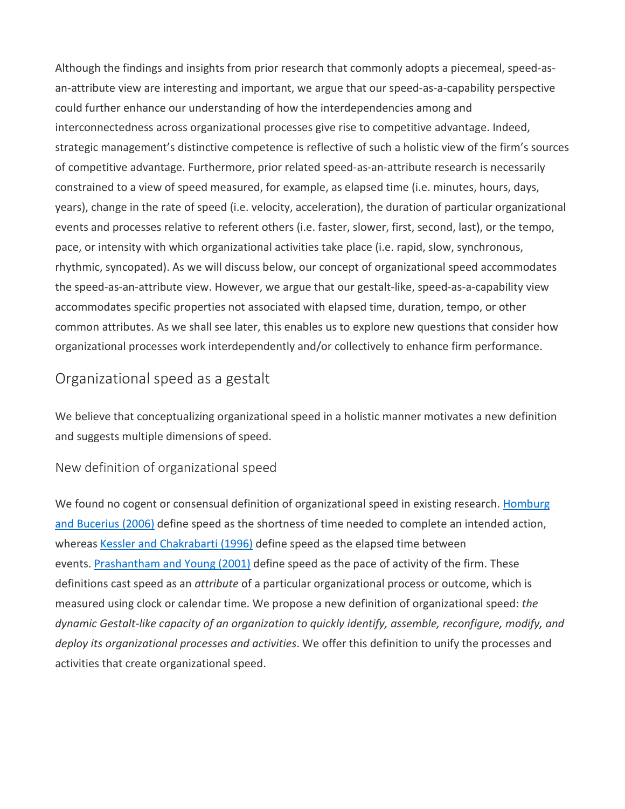Although the findings and insights from prior research that commonly adopts a piecemeal, speed-asan-attribute view are interesting and important, we argue that our speed-as-a-capability perspective could further enhance our understanding of how the interdependencies among and interconnectedness across organizational processes give rise to competitive advantage. Indeed, strategic management's distinctive competence is reflective of such a holistic view of the firm's sources of competitive advantage. Furthermore, prior related speed-as-an-attribute research is necessarily constrained to a view of speed measured, for example, as elapsed time (i.e. minutes, hours, days, years), change in the rate of speed (i.e. velocity, acceleration), the duration of particular organizational events and processes relative to referent others (i.e. faster, slower, first, second, last), or the tempo, pace, or intensity with which organizational activities take place (i.e. rapid, slow, synchronous, rhythmic, syncopated). As we will discuss below, our concept of organizational speed accommodates the speed-as-an-attribute view. However, we argue that our gestalt-like, speed-as-a-capability view accommodates specific properties not associated with elapsed time, duration, tempo, or other common attributes. As we shall see later, this enables us to explore new questions that consider how organizational processes work interdependently and/or collectively to enhance firm performance.

### Organizational speed as a gestalt

We believe that conceptualizing organizational speed in a holistic manner motivates a new definition and suggests multiple dimensions of speed.

#### New definition of organizational speed

We found no cogent or consensual definition of organizational speed in existing research. Homburg [and Bucerius \(2006\)](https://journals.sagepub.com/doi/10.1177/1476127018804249) define speed as the shortness of time needed to complete an intended action, whereas [Kessler and Chakrabarti \(1996\)](https://journals.sagepub.com/doi/10.1177/1476127018804249) define speed as the elapsed time between events. [Prashantham and Young \(2001\)](https://journals.sagepub.com/doi/10.1177/1476127018804249) define speed as the pace of activity of the firm. These definitions cast speed as an *attribute* of a particular organizational process or outcome, which is measured using clock or calendar time. We propose a new definition of organizational speed: *the dynamic Gestalt-like capacity of an organization to quickly identify, assemble, reconfigure, modify, and deploy its organizational processes and activities*. We offer this definition to unify the processes and activities that create organizational speed.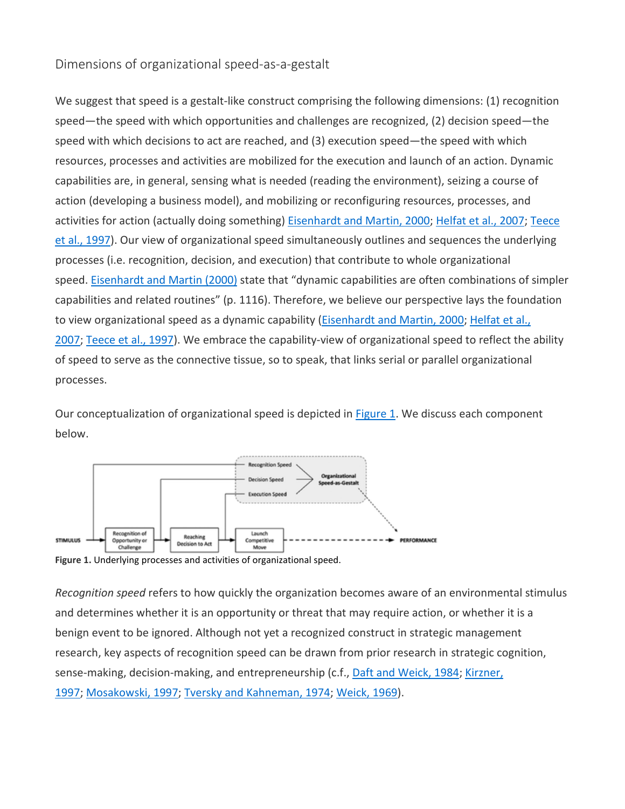#### Dimensions of organizational speed-as-a-gestalt

We suggest that speed is a gestalt-like construct comprising the following dimensions: (1) recognition speed—the speed with which opportunities and challenges are recognized, (2) decision speed—the speed with which decisions to act are reached, and (3) execution speed—the speed with which resources, processes and activities are mobilized for the execution and launch of an action. Dynamic capabilities are, in general, sensing what is needed (reading the environment), seizing a course of action (developing a business model), and mobilizing or reconfiguring resources, processes, and activities for action (actually doing something) [Eisenhardt and Martin, 2000;](https://journals.sagepub.com/doi/10.1177/1476127018804249) [Helfat et al., 2007;](https://journals.sagepub.com/doi/10.1177/1476127018804249) [Teece](https://journals.sagepub.com/doi/10.1177/1476127018804249)  [et al., 1997\)](https://journals.sagepub.com/doi/10.1177/1476127018804249). Our view of organizational speed simultaneously outlines and sequences the underlying processes (i.e. recognition, decision, and execution) that contribute to whole organizational speed. [Eisenhardt and Martin \(2000\)](https://journals.sagepub.com/doi/10.1177/1476127018804249) state that "dynamic capabilities are often combinations of simpler capabilities and related routines" (p. 1116). Therefore, we believe our perspective lays the foundation to view organizational speed as a dynamic capability [\(Eisenhardt and Martin, 2000;](https://journals.sagepub.com/doi/10.1177/1476127018804249) Helfat et al., [2007;](https://journals.sagepub.com/doi/10.1177/1476127018804249) [Teece et al., 1997\)](https://journals.sagepub.com/doi/10.1177/1476127018804249). We embrace the capability-view of organizational speed to reflect the ability of speed to serve as the connective tissue, so to speak, that links serial or parallel organizational processes.

Our conceptualization of organizational speed is depicted in **Figure 1**. We discuss each component below.



**Figure 1.** Underlying processes and activities of organizational speed.

*Recognition speed* refers to how quickly the organization becomes aware of an environmental stimulus and determines whether it is an opportunity or threat that may require action, or whether it is a benign event to be ignored. Although not yet a recognized construct in strategic management research, key aspects of recognition speed can be drawn from prior research in strategic cognition, sense-making, decision-making, and entrepreneurship (c.f., [Daft and Weick, 1984;](https://journals.sagepub.com/doi/10.1177/1476127018804249) [Kirzner,](https://journals.sagepub.com/doi/10.1177/1476127018804249)  [1997;](https://journals.sagepub.com/doi/10.1177/1476127018804249) [Mosakowski, 1997;](https://journals.sagepub.com/doi/10.1177/1476127018804249) [Tversky and Kahneman, 1974;](https://journals.sagepub.com/doi/10.1177/1476127018804249) [Weick, 1969\)](https://journals.sagepub.com/doi/10.1177/1476127018804249).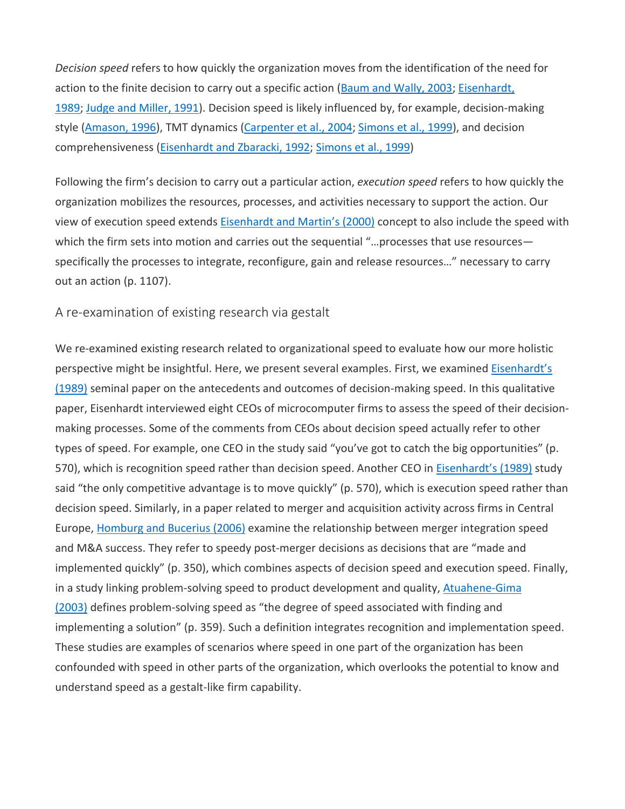*Decision speed* refers to how quickly the organization moves from the identification of the need for action to the finite decision to carry out a specific action [\(Baum and Wally, 2003;](https://journals.sagepub.com/doi/10.1177/1476127018804249) Eisenhardt, [1989;](https://journals.sagepub.com/doi/10.1177/1476127018804249) [Judge and Miller, 1991\)](https://journals.sagepub.com/doi/10.1177/1476127018804249). Decision speed is likely influenced by, for example, decision-making style [\(Amason, 1996\)](https://journals.sagepub.com/doi/10.1177/1476127018804249), TMT dynamics [\(Carpenter et al., 2004;](https://journals.sagepub.com/doi/10.1177/1476127018804249) [Simons et al., 1999\)](https://journals.sagepub.com/doi/10.1177/1476127018804249), and decision comprehensiveness [\(Eisenhardt and Zbaracki, 1992;](https://journals.sagepub.com/doi/10.1177/1476127018804249) [Simons et al., 1999\)](https://journals.sagepub.com/doi/10.1177/1476127018804249)

Following the firm's decision to carry out a particular action, *execution speed* refers to how quickly the organization mobilizes the resources, processes, and activities necessary to support the action. Our view of execution speed extends [Eisenhardt and Martin's \(2000\)](https://journals.sagepub.com/doi/10.1177/1476127018804249) concept to also include the speed with which the firm sets into motion and carries out the sequential "...processes that use resources specifically the processes to integrate, reconfigure, gain and release resources…" necessary to carry out an action (p. 1107).

#### A re-examination of existing research via gestalt

We re-examined existing research related to organizational speed to evaluate how our more holistic perspective might be insightful. Here, we present several examples. First, we examined [Eisenhardt's](https://journals.sagepub.com/doi/10.1177/1476127018804249)  [\(1989\)](https://journals.sagepub.com/doi/10.1177/1476127018804249) seminal paper on the antecedents and outcomes of decision-making speed. In this qualitative paper, Eisenhardt interviewed eight CEOs of microcomputer firms to assess the speed of their decisionmaking processes. Some of the comments from CEOs about decision speed actually refer to other types of speed. For example, one CEO in the study said "you've got to catch the big opportunities" (p. 570), which is recognition speed rather than decision speed. Another CEO in [Eisenhardt's \(1989\)](https://journals.sagepub.com/doi/10.1177/1476127018804249) study said "the only competitive advantage is to move quickly" (p. 570), which is execution speed rather than decision speed. Similarly, in a paper related to merger and acquisition activity across firms in Central Europe, [Homburg and Bucerius \(2006\)](https://journals.sagepub.com/doi/10.1177/1476127018804249) examine the relationship between merger integration speed and M&A success. They refer to speedy post-merger decisions as decisions that are "made and implemented quickly" (p. 350), which combines aspects of decision speed and execution speed. Finally, in a study linking problem-solving speed to product development and quality, [Atuahene-Gima](https://journals.sagepub.com/doi/10.1177/1476127018804249)  [\(2003\)](https://journals.sagepub.com/doi/10.1177/1476127018804249) defines problem-solving speed as "the degree of speed associated with finding and implementing a solution" (p. 359). Such a definition integrates recognition and implementation speed. These studies are examples of scenarios where speed in one part of the organization has been confounded with speed in other parts of the organization, which overlooks the potential to know and understand speed as a gestalt-like firm capability.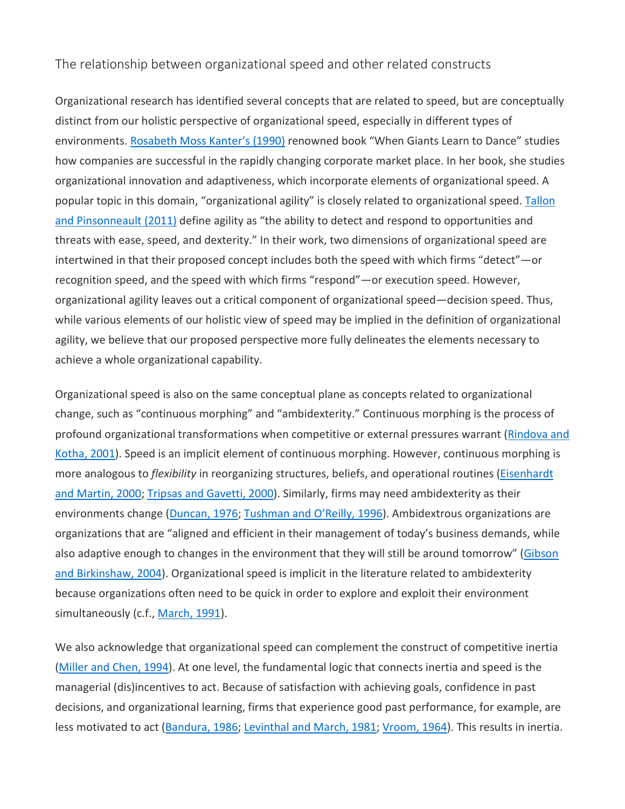#### The relationship between organizational speed and other related constructs

Organizational research has identified several concepts that are related to speed, but are conceptually distinct from our holistic perspective of organizational speed, especially in different types of environments. [Rosabeth Moss Kanter's \(1990\)](https://journals.sagepub.com/doi/10.1177/1476127018804249) renowned book "When Giants Learn to Dance" studies how companies are successful in the rapidly changing corporate market place. In her book, she studies organizational innovation and adaptiveness, which incorporate elements of organizational speed. A popular topic in this domain, "organizational agility" is closely related to organizational speed. Tallon [and Pinsonneault \(2011\)](https://journals.sagepub.com/doi/10.1177/1476127018804249) define agility as "the ability to detect and respond to opportunities and threats with ease, speed, and dexterity." In their work, two dimensions of organizational speed are intertwined in that their proposed concept includes both the speed with which firms "detect"—or recognition speed, and the speed with which firms "respond"—or execution speed. However, organizational agility leaves out a critical component of organizational speed—decision speed. Thus, while various elements of our holistic view of speed may be implied in the definition of organizational agility, we believe that our proposed perspective more fully delineates the elements necessary to achieve a whole organizational capability.

Organizational speed is also on the same conceptual plane as concepts related to organizational change, such as "continuous morphing" and "ambidexterity." Continuous morphing is the process of profound organizational transformations when competitive or external pressures warrant [\(Rindova and](https://journals.sagepub.com/doi/10.1177/1476127018804249)  [Kotha, 2001\)](https://journals.sagepub.com/doi/10.1177/1476127018804249). Speed is an implicit element of continuous morphing. However, continuous morphing is more analogous to *flexibility* in reorganizing structures, beliefs, and operational routines [\(Eisenhardt](https://journals.sagepub.com/doi/10.1177/1476127018804249)  [and Martin, 2000;](https://journals.sagepub.com/doi/10.1177/1476127018804249) [Tripsas and Gavetti, 2000\)](https://journals.sagepub.com/doi/10.1177/1476127018804249). Similarly, firms may need ambidexterity as their environments change [\(Duncan, 1976;](https://journals.sagepub.com/doi/10.1177/1476127018804249) [Tushman and O'Reilly, 1996\)](https://journals.sagepub.com/doi/10.1177/1476127018804249). Ambidextrous organizations are organizations that are "aligned and efficient in their management of today's business demands, while also adaptive enough to changes in the environment that they will still be around tomorrow" (Gibson [and Birkinshaw, 2004\)](https://journals.sagepub.com/doi/10.1177/1476127018804249). Organizational speed is implicit in the literature related to ambidexterity because organizations often need to be quick in order to explore and exploit their environment simultaneously (c.f., [March, 1991\)](https://journals.sagepub.com/doi/10.1177/1476127018804249).

We also acknowledge that organizational speed can complement the construct of competitive inertia (Miller [and Chen, 1994\)](https://journals.sagepub.com/doi/10.1177/1476127018804249). At one level, the fundamental logic that connects inertia and speed is the managerial (dis)incentives to act. Because of satisfaction with achieving goals, confidence in past decisions, and organizational learning, firms that experience good past performance, for example, are less motivated to act [\(Bandura, 1986;](https://journals.sagepub.com/doi/10.1177/1476127018804249) [Levinthal and March, 1981;](https://journals.sagepub.com/doi/10.1177/1476127018804249) [Vroom, 1964\)](https://journals.sagepub.com/doi/10.1177/1476127018804249). This results in inertia.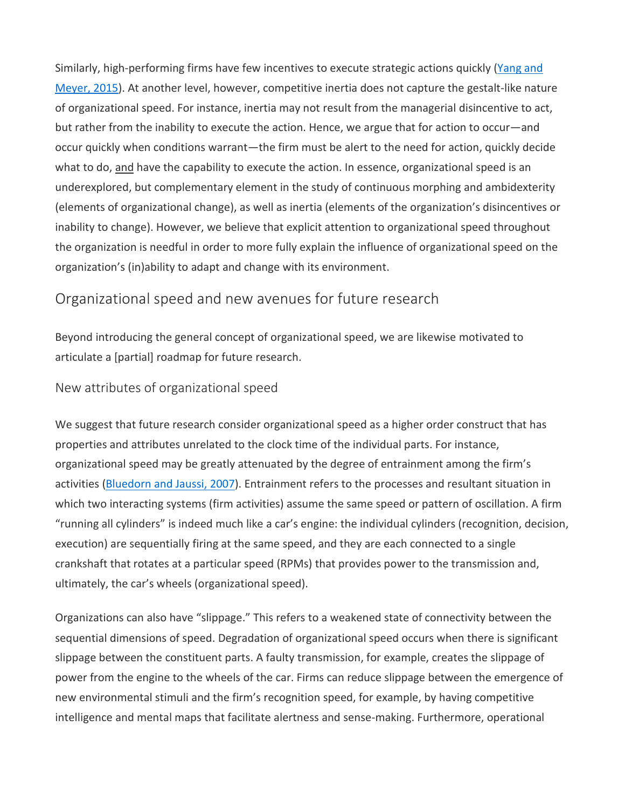Similarly, high-performing firms have few incentives to execute strategic actions quickly [\(Yang and](https://journals.sagepub.com/doi/10.1177/1476127018804249)  [Meyer, 2015\)](https://journals.sagepub.com/doi/10.1177/1476127018804249). At another level, however, competitive inertia does not capture the gestalt-like nature of organizational speed. For instance, inertia may not result from the managerial disincentive to act, but rather from the inability to execute the action. Hence, we argue that for action to occur—and occur quickly when conditions warrant—the firm must be alert to the need for action, quickly decide what to do, and have the capability to execute the action. In essence, organizational speed is an underexplored, but complementary element in the study of continuous morphing and ambidexterity (elements of organizational change), as well as inertia (elements of the organization's disincentives or inability to change). However, we believe that explicit attention to organizational speed throughout the organization is needful in order to more fully explain the influence of organizational speed on the organization's (in)ability to adapt and change with its environment.

## Organizational speed and new avenues for future research

Beyond introducing the general concept of organizational speed, we are likewise motivated to articulate a [partial] roadmap for future research.

New attributes of organizational speed

We suggest that future research consider organizational speed as a higher order construct that has properties and attributes unrelated to the clock time of the individual parts. For instance, organizational speed may be greatly attenuated by the degree of entrainment among the firm's activities [\(Bluedorn and Jaussi, 2007\)](https://journals.sagepub.com/doi/10.1177/1476127018804249). Entrainment refers to the processes and resultant situation in which two interacting systems (firm activities) assume the same speed or pattern of oscillation. A firm "running all cylinders" is indeed much like a car's engine: the individual cylinders (recognition, decision, execution) are sequentially firing at the same speed, and they are each connected to a single crankshaft that rotates at a particular speed (RPMs) that provides power to the transmission and, ultimately, the car's wheels (organizational speed).

Organizations can also have "slippage." This refers to a weakened state of connectivity between the sequential dimensions of speed. Degradation of organizational speed occurs when there is significant slippage between the constituent parts. A faulty transmission, for example, creates the slippage of power from the engine to the wheels of the car. Firms can reduce slippage between the emergence of new environmental stimuli and the firm's recognition speed, for example, by having competitive intelligence and mental maps that facilitate alertness and sense-making. Furthermore, operational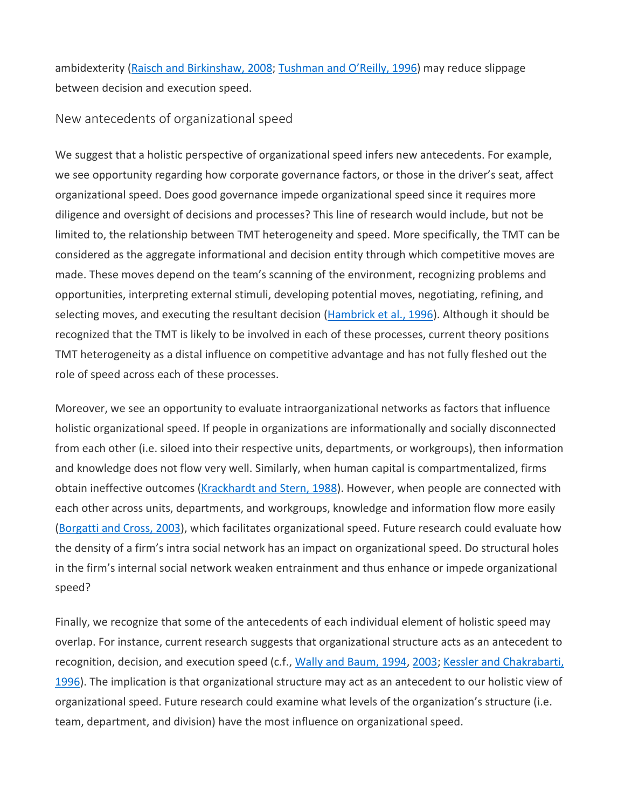ambidexterity [\(Raisch and Birkinshaw, 2008;](https://journals.sagepub.com/doi/10.1177/1476127018804249) [Tushman and O'Reilly, 1996\)](https://journals.sagepub.com/doi/10.1177/1476127018804249) may reduce slippage between decision and execution speed.

#### New antecedents of organizational speed

We suggest that a holistic perspective of organizational speed infers new antecedents. For example, we see opportunity regarding how corporate governance factors, or those in the driver's seat, affect organizational speed. Does good governance impede organizational speed since it requires more diligence and oversight of decisions and processes? This line of research would include, but not be limited to, the relationship between TMT heterogeneity and speed. More specifically, the TMT can be considered as the aggregate informational and decision entity through which competitive moves are made. These moves depend on the team's scanning of the environment, recognizing problems and opportunities, interpreting external stimuli, developing potential moves, negotiating, refining, and selecting moves, and executing the resultant decision [\(Hambrick et al., 1996\)](https://journals.sagepub.com/doi/10.1177/1476127018804249). Although it should be recognized that the TMT is likely to be involved in each of these processes, current theory positions TMT heterogeneity as a distal influence on competitive advantage and has not fully fleshed out the role of speed across each of these processes.

Moreover, we see an opportunity to evaluate intraorganizational networks as factors that influence holistic organizational speed. If people in organizations are informationally and socially disconnected from each other (i.e. siloed into their respective units, departments, or workgroups), then information and knowledge does not flow very well. Similarly, when human capital is compartmentalized, firms obtain ineffective outcomes [\(Krackhardt and Stern, 1988\)](https://journals.sagepub.com/doi/10.1177/1476127018804249). However, when people are connected with each other across units, departments, and workgroups, knowledge and information flow more easily [\(Borgatti and Cross, 2003\)](https://journals.sagepub.com/doi/10.1177/1476127018804249), which facilitates organizational speed. Future research could evaluate how the density of a firm's intra social network has an impact on organizational speed. Do structural holes in the firm's internal social network weaken entrainment and thus enhance or impede organizational speed?

Finally, we recognize that some of the antecedents of each individual element of holistic speed may overlap. For instance, current research suggests that organizational structure acts as an antecedent to recognition, decision, and execution speed (c.f., [Wally and Baum, 1994,](https://journals.sagepub.com/doi/10.1177/1476127018804249) [2003;](https://journals.sagepub.com/doi/10.1177/1476127018804249) Kessler and Chakrabarti, [1996\)](https://journals.sagepub.com/doi/10.1177/1476127018804249). The implication is that organizational structure may act as an antecedent to our holistic view of organizational speed. Future research could examine what levels of the organization's structure (i.e. team, department, and division) have the most influence on organizational speed.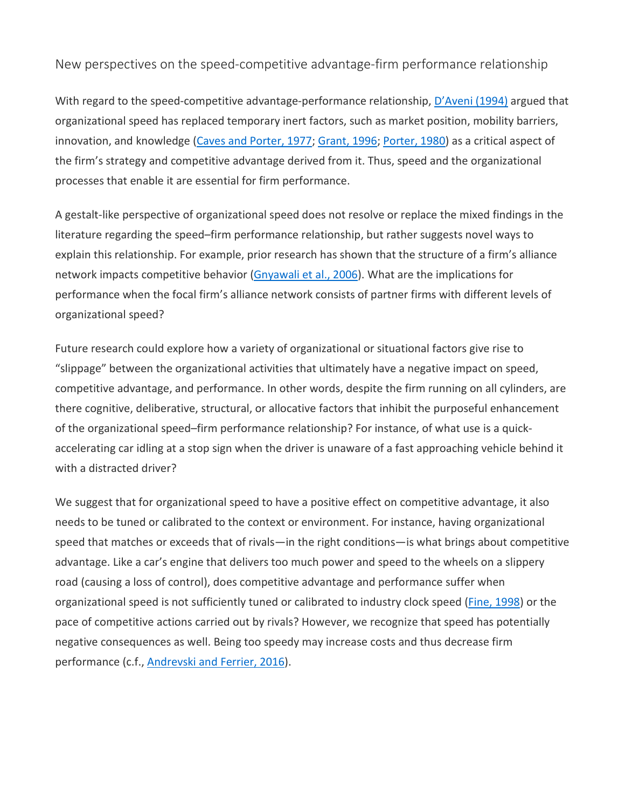New perspectives on the speed-competitive advantage-firm performance relationship

With regard to the speed-competitive advantage-performance relationship, [D'Aveni \(1994\)](https://journals.sagepub.com/doi/10.1177/1476127018804249) argued that organizational speed has replaced temporary inert factors, such as market position, mobility barriers, innovation, and knowledge [\(Caves and Porter, 1977;](https://journals.sagepub.com/doi/10.1177/1476127018804249) [Grant, 1996;](https://journals.sagepub.com/doi/10.1177/1476127018804249) [Porter, 1980\)](https://journals.sagepub.com/doi/10.1177/1476127018804249) as a critical aspect of the firm's strategy and competitive advantage derived from it. Thus, speed and the organizational processes that enable it are essential for firm performance.

A gestalt-like perspective of organizational speed does not resolve or replace the mixed findings in the literature regarding the speed–firm performance relationship, but rather suggests novel ways to explain this relationship. For example, prior research has shown that the structure of a firm's alliance network impacts competitive behavior [\(Gnyawali et al., 2006\)](https://journals.sagepub.com/doi/10.1177/1476127018804249). What are the implications for performance when the focal firm's alliance network consists of partner firms with different levels of organizational speed?

Future research could explore how a variety of organizational or situational factors give rise to "slippage" between the organizational activities that ultimately have a negative impact on speed, competitive advantage, and performance. In other words, despite the firm running on all cylinders, are there cognitive, deliberative, structural, or allocative factors that inhibit the purposeful enhancement of the organizational speed–firm performance relationship? For instance, of what use is a quickaccelerating car idling at a stop sign when the driver is unaware of a fast approaching vehicle behind it with a distracted driver?

We suggest that for organizational speed to have a positive effect on competitive advantage, it also needs to be tuned or calibrated to the context or environment. For instance, having organizational speed that matches or exceeds that of rivals—in the right conditions—is what brings about competitive advantage. Like a car's engine that delivers too much power and speed to the wheels on a slippery road (causing a loss of control), does competitive advantage and performance suffer when organizational speed is not sufficiently tuned or calibrated to industry clock speed [\(Fine, 1998\)](https://journals.sagepub.com/doi/10.1177/1476127018804249) or the pace of competitive actions carried out by rivals? However, we recognize that speed has potentially negative consequences as well. Being too speedy may increase costs and thus decrease firm performance (c.f., [Andrevski and Ferrier, 2016\)](https://journals.sagepub.com/doi/10.1177/1476127018804249).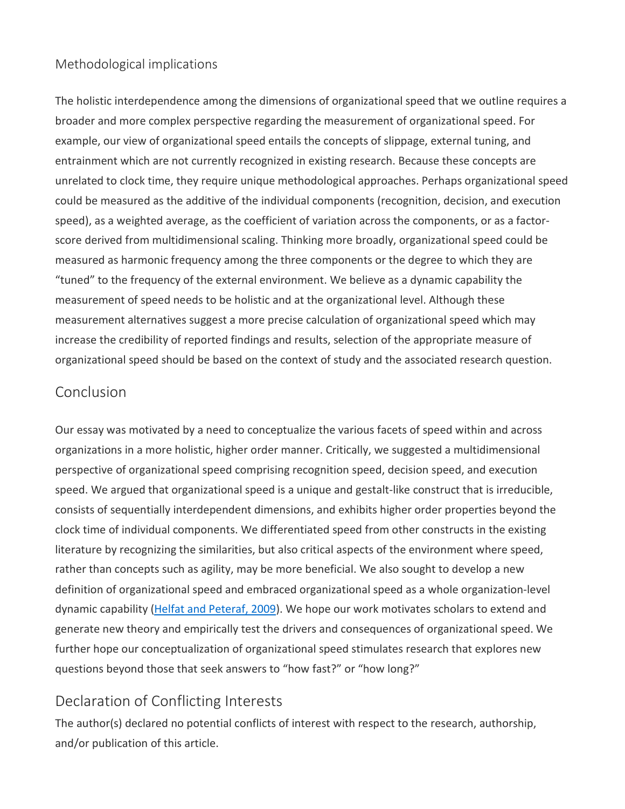## Methodological implications

The holistic interdependence among the dimensions of organizational speed that we outline requires a broader and more complex perspective regarding the measurement of organizational speed. For example, our view of organizational speed entails the concepts of slippage, external tuning, and entrainment which are not currently recognized in existing research. Because these concepts are unrelated to clock time, they require unique methodological approaches. Perhaps organizational speed could be measured as the additive of the individual components (recognition, decision, and execution speed), as a weighted average, as the coefficient of variation across the components, or as a factorscore derived from multidimensional scaling. Thinking more broadly, organizational speed could be measured as harmonic frequency among the three components or the degree to which they are "tuned" to the frequency of the external environment. We believe as a dynamic capability the measurement of speed needs to be holistic and at the organizational level. Although these measurement alternatives suggest a more precise calculation of organizational speed which may increase the credibility of reported findings and results, selection of the appropriate measure of organizational speed should be based on the context of study and the associated research question.

## Conclusion

Our essay was motivated by a need to conceptualize the various facets of speed within and across organizations in a more holistic, higher order manner. Critically, we suggested a multidimensional perspective of organizational speed comprising recognition speed, decision speed, and execution speed. We argued that organizational speed is a unique and gestalt-like construct that is irreducible, consists of sequentially interdependent dimensions, and exhibits higher order properties beyond the clock time of individual components. We differentiated speed from other constructs in the existing literature by recognizing the similarities, but also critical aspects of the environment where speed, rather than concepts such as agility, may be more beneficial. We also sought to develop a new definition of organizational speed and embraced organizational speed as a whole organization-level dynamic capability [\(Helfat and Peteraf, 2009\)](https://journals.sagepub.com/doi/10.1177/1476127018804249). We hope our work motivates scholars to extend and generate new theory and empirically test the drivers and consequences of organizational speed. We further hope our conceptualization of organizational speed stimulates research that explores new questions beyond those that seek answers to "how fast?" or "how long?"

## Declaration of Conflicting Interests

The author(s) declared no potential conflicts of interest with respect to the research, authorship, and/or publication of this article.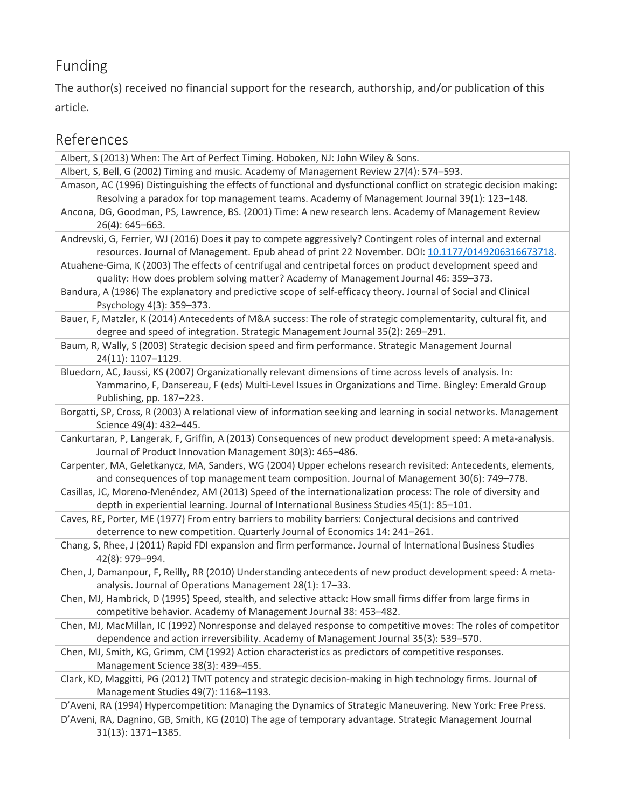# Funding

The author(s) received no financial support for the research, authorship, and/or publication of this article.

# References

| Albert, S (2013) When: The Art of Perfect Timing. Hoboken, NJ: John Wiley & Sons.                                                                     |
|-------------------------------------------------------------------------------------------------------------------------------------------------------|
| Albert, S, Bell, G (2002) Timing and music. Academy of Management Review 27(4): 574-593.                                                              |
| Amason, AC (1996) Distinguishing the effects of functional and dysfunctional conflict on strategic decision making:                                   |
| Resolving a paradox for top management teams. Academy of Management Journal 39(1): 123-148.                                                           |
| Ancona, DG, Goodman, PS, Lawrence, BS. (2001) Time: A new research lens. Academy of Management Review                                                 |
| $26(4): 645 - 663.$                                                                                                                                   |
| Andrevski, G, Ferrier, WJ (2016) Does it pay to compete aggressively? Contingent roles of internal and external                                       |
| resources. Journal of Management. Epub ahead of print 22 November. DOI: 10.1177/0149206316673718.                                                     |
| Atuahene-Gima, K (2003) The effects of centrifugal and centripetal forces on product development speed and                                            |
| quality: How does problem solving matter? Academy of Management Journal 46: 359-373.                                                                  |
| Bandura, A (1986) The explanatory and predictive scope of self-efficacy theory. Journal of Social and Clinical                                        |
| Psychology 4(3): 359-373.                                                                                                                             |
| Bauer, F, Matzler, K (2014) Antecedents of M&A success: The role of strategic complementarity, cultural fit, and                                      |
| degree and speed of integration. Strategic Management Journal 35(2): 269-291.                                                                         |
| Baum, R, Wally, S (2003) Strategic decision speed and firm performance. Strategic Management Journal                                                  |
| 24(11): 1107-1129.                                                                                                                                    |
| Bluedorn, AC, Jaussi, KS (2007) Organizationally relevant dimensions of time across levels of analysis. In:                                           |
| Yammarino, F, Dansereau, F (eds) Multi-Level Issues in Organizations and Time. Bingley: Emerald Group                                                 |
| Publishing, pp. 187-223.                                                                                                                              |
| Borgatti, SP, Cross, R (2003) A relational view of information seeking and learning in social networks. Management                                    |
| Science 49(4): 432-445.                                                                                                                               |
| Cankurtaran, P, Langerak, F, Griffin, A (2013) Consequences of new product development speed: A meta-analysis.                                        |
| Journal of Product Innovation Management 30(3): 465-486.                                                                                              |
| Carpenter, MA, Geletkanycz, MA, Sanders, WG (2004) Upper echelons research revisited: Antecedents, elements,                                          |
| and consequences of top management team composition. Journal of Management 30(6): 749-778.                                                            |
| Casillas, JC, Moreno-Menéndez, AM (2013) Speed of the internationalization process: The role of diversity and                                         |
| depth in experiential learning. Journal of International Business Studies 45(1): 85-101.                                                              |
| Caves, RE, Porter, ME (1977) From entry barriers to mobility barriers: Conjectural decisions and contrived                                            |
| deterrence to new competition. Quarterly Journal of Economics 14: 241-261.                                                                            |
| Chang, S, Rhee, J (2011) Rapid FDI expansion and firm performance. Journal of International Business Studies<br>42(8): 979-994.                       |
| Chen, J, Damanpour, F, Reilly, RR (2010) Understanding antecedents of new product development speed: A meta-                                          |
| analysis. Journal of Operations Management 28(1): 17-33.                                                                                              |
| Chen, MJ, Hambrick, D (1995) Speed, stealth, and selective attack: How small firms differ from large firms in                                         |
| competitive behavior. Academy of Management Journal 38: 453-482.                                                                                      |
| Chen, MJ, MacMillan, IC (1992) Nonresponse and delayed response to competitive moves: The roles of competitor                                         |
| dependence and action irreversibility. Academy of Management Journal 35(3): 539-570.                                                                  |
| Chen, MJ, Smith, KG, Grimm, CM (1992) Action characteristics as predictors of competitive responses.                                                  |
| Management Science 38(3): 439-455.                                                                                                                    |
| Clark, KD, Maggitti, PG (2012) TMT potency and strategic decision-making in high technology firms. Journal of<br>Management Studies 49(7): 1168-1193. |
| D'Aveni, RA (1994) Hypercompetition: Managing the Dynamics of Strategic Maneuvering. New York: Free Press.                                            |
| D'Aveni, RA, Dagnino, GB, Smith, KG (2010) The age of temporary advantage. Strategic Management Journal                                               |
| 31(13): 1371-1385.                                                                                                                                    |
|                                                                                                                                                       |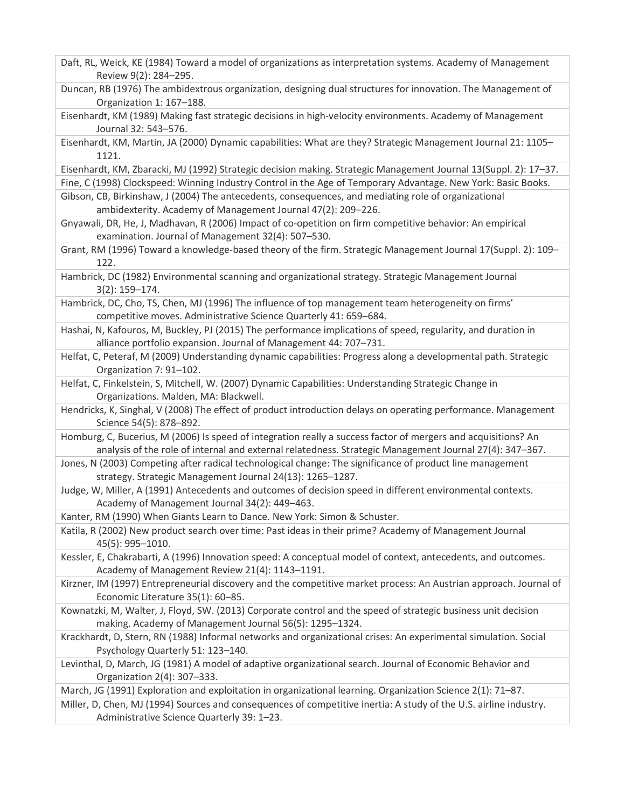- Daft, RL, Weick, KE (1984) Toward a model of organizations as interpretation systems. Academy of Management Review 9(2): 284–295.
- Duncan, RB (1976) The ambidextrous organization, designing dual structures for innovation. The Management of Organization 1: 167–188.
- Eisenhardt, KM (1989) Making fast strategic decisions in high-velocity environments. Academy of Management Journal 32: 543–576.
- Eisenhardt, KM, Martin, JA (2000) Dynamic capabilities: What are they? Strategic Management Journal 21: 1105– 1121.
- Eisenhardt, KM, Zbaracki, MJ (1992) Strategic decision making. Strategic Management Journal 13(Suppl. 2): 17–37.

Fine, C (1998) Clockspeed: Winning Industry Control in the Age of Temporary Advantage. New York: Basic Books. Gibson, CB, Birkinshaw, J (2004) The antecedents, consequences, and mediating role of organizational

ambidexterity. Academy of Management Journal 47(2): 209–226.

- Gnyawali, DR, He, J, Madhavan, R (2006) Impact of co-opetition on firm competitive behavior: An empirical examination. Journal of Management 32(4): 507–530.
- Grant, RM (1996) Toward a knowledge-based theory of the firm. Strategic Management Journal 17(Suppl. 2): 109– 122.
- Hambrick, DC (1982) Environmental scanning and organizational strategy. Strategic Management Journal 3(2): 159–174.
- Hambrick, DC, Cho, TS, Chen, MJ (1996) The influence of top management team heterogeneity on firms' competitive moves. Administrative Science Quarterly 41: 659–684.
- Hashai, N, Kafouros, M, Buckley, PJ (2015) The performance implications of speed, regularity, and duration in alliance portfolio expansion. Journal of Management 44: 707–731.
- Helfat, C, Peteraf, M (2009) Understanding dynamic capabilities: Progress along a developmental path. Strategic Organization 7: 91–102.
- Helfat, C, Finkelstein, S, Mitchell, W. (2007) Dynamic Capabilities: Understanding Strategic Change in Organizations. Malden, MA: Blackwell.
- Hendricks, K, Singhal, V (2008) The effect of product introduction delays on operating performance. Management Science 54(5): 878–892.
- Homburg, C, Bucerius, M (2006) Is speed of integration really a success factor of mergers and acquisitions? An analysis of the role of internal and external relatedness. Strategic Management Journal 27(4): 347–367.
- Jones, N (2003) Competing after radical technological change: The significance of product line management strategy. Strategic Management Journal 24(13): 1265–1287.
- Judge, W, Miller, A (1991) Antecedents and outcomes of decision speed in different environmental contexts. Academy of Management Journal 34(2): 449–463.

Kanter, RM (1990) When Giants Learn to Dance. New York: Simon & Schuster.

Katila, R (2002) New product search over time: Past ideas in their prime? Academy of Management Journal 45(5): 995–1010.

Kessler, E, Chakrabarti, A (1996) Innovation speed: A conceptual model of context, antecedents, and outcomes. Academy of Management Review 21(4): 1143–1191.

- Kirzner, IM (1997) Entrepreneurial discovery and the competitive market process: An Austrian approach. Journal of Economic Literature 35(1): 60–85.
- Kownatzki, M, Walter, J, Floyd, SW. (2013) Corporate control and the speed of strategic business unit decision making. Academy of Management Journal 56(5): 1295–1324.
- Krackhardt, D, Stern, RN (1988) Informal networks and organizational crises: An experimental simulation. Social Psychology Quarterly 51: 123–140.
- Levinthal, D, March, JG (1981) A model of adaptive organizational search. Journal of Economic Behavior and Organization 2(4): 307–333.

#### March, JG (1991) Exploration and exploitation in organizational learning. Organization Science 2(1): 71–87.

Miller, D, Chen, MJ (1994) Sources and consequences of competitive inertia: A study of the U.S. airline industry. Administrative Science Quarterly 39: 1–23.